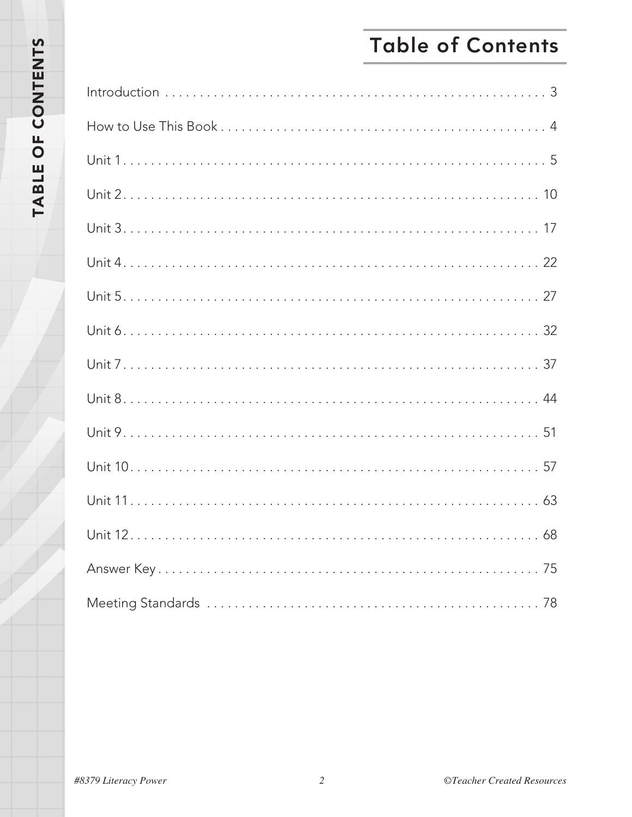# **Table of Contents**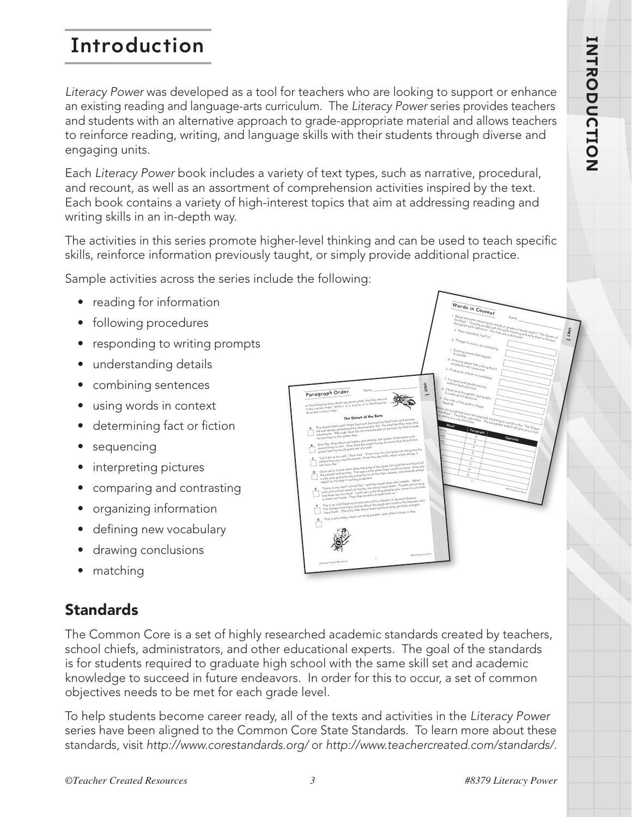#### Introduction

*Literacy Power* was developed as a tool for teachers who are looking to support or enhance an existing reading and language-arts curriculum. The *Literacy Power* series provides teachers and students with an alternative approach to grade-appropriate material and allows teachers to reinforce reading, writing, and language skills with their students through diverse and engaging units.

Each *Literacy Power* book includes a variety of text types, such as narrative, procedural, and recount, as well as an assortment of comprehension activities inspired by the text. Each book contains a variety of high-interest topics that aim at addressing reading and writing skills in an in-depth way.

The activities in this series promote higher-level thinking and can be used to teach specific skills, reinforce information previously taught, or simply provide additional practice.

Sample activities across the series include the following:

- reading for information
- following procedures
- responding to writing prompts
- understanding details
- combining sentences
- using words in context
- determining fact or fiction
- sequencing
- interpreting pictures
- • comparing and contrasting
- organizing information
- defining new vocabulary
- drawing conclusions
- matching

#### **Standards**

The Common Core is a set of highly researched academic standards created by teachers, school chiefs, administrators, and other educational experts. The goal of the standards is for students required to graduate high school with the same skill set and academic knowledge to succeed in future endeavors. In order for this to occur, a set of common objectives needs to be met for each grade level.

To help students become career ready, all of the texts and activities in the *Literacy Power*  series have been aligned to the Common Core State Standards. To learn more about these standards, visit *http://www.corestandards.org/* or *http://www.teachercreated.com/standards/.*

Name:

Opposite

1. Below are some meanings for words or where<br>the Beauty - First the words law in the or groups of words used in "The Queen of<br>a. Kept interested in the function "Wor may take a dictionary where them is Queen of<br>a. Kept in the Bees<sup>te</sup> Some meanings for words or groups.<br>Nongside Beth definition, Youth the <sup>same</sup> meaning and write them in the Queen<br>8. Kept interested, had f<sub>irm</sub><br>Pleria... alongside each definition. You mords or groups of w<br>a. Kept leach definition. You may use a dictionary.<br>a. Kept interested, had fun a. Kept interested, had fun b. Pledge or vow to do something c. Exciting events that happen to people d.<br>Ionged for will come that a thing that is<br>Find: longed for will come true<br><sup>lord</sup>in <sup>will come true</sub></sup> e. Finding an answer to a problem f. In a quiet and gentle manner,<br>Without feeling provid without feeling pr g.

**Created Resources 7 & 279 Literacy Power**<br> *Created Resources 7 #8379 Literacy Power* 

A

A

Clever and thoughtful, being able<br><sup>to</sup> make good decisions<br>L. to make good decisions<br>he = 1 h. The ruler of the gods in Greek<br><sup>legends</sup> legends

to where you can find their oppo Word

happy pldly **k**mg  $\overline{\phantom{a}}$  $\blacksquare$ 

**UNIT**  $\overline{\phantom{a}}$ 

Name:

The Queen of the Bees IN The queen bee's wish made Zeus sad, because he liked men and women.<br>A The queen bee's wish made Zeus sad, because did... He watched their was an<br>A The queen bee's wishingd by what people did... to be hurt, he had to ket The queen bee's wish made Zeus sad, because he liked must and<br>The queen bee's wish made by what people did. He watched their wars and<br>He was always entertain wave did not want people to be hurt, he had to keep The queen bee's wish mass want although did. The waterwork is had to keep<br>He was always entertained by what people to be hurt, he had to keep<br>adventures. Although Zeus bee

ou complex to the queen bee.<br>In promise to the queen and resting, the queen of the bees took<br>A One day, when Zeus you, liked the sweet honey so much that he told the some honey, when Zeus was happy and resting, the queen of the told the spide the spide the sweet honey so much that he told the<br>One day, when Zeus I zeus liked the sweet honey so much that he told the

Sume the assign and grant her any with the asset of the asset of the said. But be<br>C . . "Let it be as you ask," Zeus said. . "From this day forth, when a bee stings, it from."<br>"Let it be as you ask," Zeus said. "From this day forth, when a bee stings, it<br>careful how you use this power. From this day forth, when a bee stings, it

 Once upon a time when Zeus was king of the gods, he ruled the world and all the people and animals. This was king of the goos, ne could not sting. Zeus was<br>Once upon a time when Zeus was a time when bees could not sting. Zeus was<br>the people and animus was proverful, so all the men, women, and anim and very position with the wise a time when bees coded the minds always.<br>The people and animals. This was a time when women, and animals always.<br>Javery wise god and very powerful, so all the men, women, and animals always.

exact for his help in sommal processes."<br>There is one wish I would like," said the queen bee very meekly. "Pole are too b<br>E. "There is one wish and nut honey, we cannot so angle who come to our hi pace our home and would like," said the queen bee very means are too big,<br>"There is one wish I would like to we cannot stop them. People are to our hives<br>men and women steal is usuah we could sting people wi "There is one wish I would wake", we cannot stop them. I worker to our hives<br>men and women steal our honey, we cannot sting people who come to our hives<br>and bees are too small. I wish we could not steal from us." men and word.<br>and bees are too small. I wish we could not steal from us."<br>to steal our honey. Then they would not steal from in A to steal our honey.<br>This is an old Greek story that was told to children in Ancient Greece.<br>This is an old Greek story etories about the goal who lived in their stinger. The Greeks told many stories about the gods who lived in the heavens an<sup>d</sup> This is an old user a movies about the gods with their stingers.<br>The Greeks told many stories about bees and how they got their stingers.<br>niled Earth. This story tells about bees and how they got thes. <sup>G</sup> That is why today a bee can sting people—but when it does, it dies.

**Paragraph Order** Name.<br>In the following story, there are seven parts, but they are not in the following story, there are seven poor in the boxes to<br>in the correct order. Write 1, 2, 3, and so on in the boxes to

adventures.<br>his promise to the queen bee.

will soon die."

some honey to him.<br>queen bee he would grant her any wish.

a very wise gog and way .<br>asked for his help in solving problems.

show the correct order.

*©Teacher Created Resources <sup>5</sup>#8379 Literacy Power*

f. reckless

2. Below are words that have the opposite meanings to words in the "The Queen"<br>2. Below a you can find them, the paragraph letters will give "The Queen" The Bees." Find theire the opposite meanings to words in the "The Oliveys" for the Bees.<br>"The Bees" Find the opposites. The paragraph letters will give you a clue<br>"The Bees" of the Been, the paragraph letters will give you

Paragraph

Words in Context

**UNIT**  $\overline{\phantom{0}}$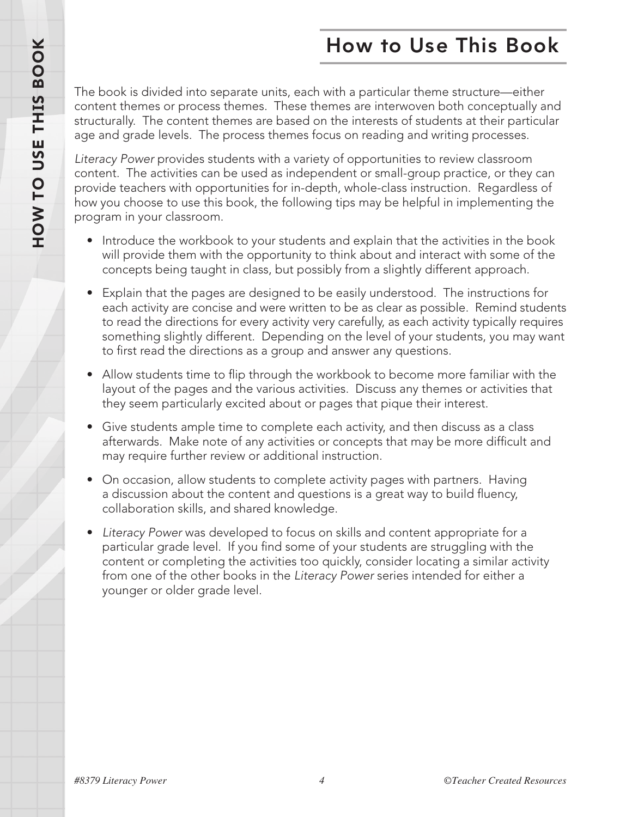## How to Use This Book

The book is divided into separate units, each with a particular theme structure—either content themes or process themes. These themes are interwoven both conceptually and structurally. The content themes are based on the interests of students at their particular age and grade levels. The process themes focus on reading and writing processes.

*Literacy Power* provides students with a variety of opportunities to review classroom content. The activities can be used as independent or small-group practice, or they can provide teachers with opportunities for in-depth, whole-class instruction. Regardless of how you choose to use this book, the following tips may be helpful in implementing the program in your classroom.

- Introduce the workbook to your students and explain that the activities in the book will provide them with the opportunity to think about and interact with some of the concepts being taught in class, but possibly from a slightly different approach.
- Explain that the pages are designed to be easily understood. The instructions for each activity are concise and were written to be as clear as possible. Remind students to read the directions for every activity very carefully, as each activity typically requires something slightly different. Depending on the level of your students, you may want to first read the directions as a group and answer any questions.
- Allow students time to flip through the workbook to become more familiar with the layout of the pages and the various activities. Discuss any themes or activities that they seem particularly excited about or pages that pique their interest.
- Give students ample time to complete each activity, and then discuss as a class afterwards. Make note of any activities or concepts that may be more difficult and may require further review or additional instruction.
- On occasion, allow students to complete activity pages with partners. Having a discussion about the content and questions is a great way to build fluency, collaboration skills, and shared knowledge.
- *Literacy Power* was developed to focus on skills and content appropriate for a particular grade level. If you find some of your students are struggling with the content or completing the activities too quickly, consider locating a similar activity from one of the other books in the *Literacy Power* series intended for either a younger or older grade level.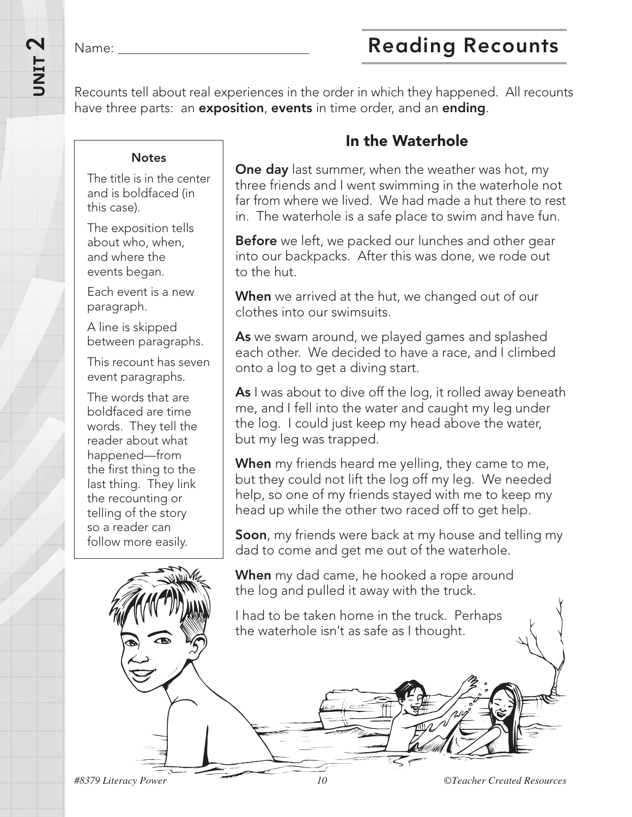**UNIT**

 $\boldsymbol{\mathsf{C}}$ 

Recounts tell about real experiences in the order in which they happened. All recounts have three parts: an **exposition, events** in time order, and an **ending**.

#### **Notes**

The title is in the center and is boldfaced (in this case).

The exposition tells about who, when, and where the events began.

Each event is a new paragraph.

A line is skipped between paragraphs.

This recount has seven event paragraphs.

The words that are boldfaced are time words. They tell the reader about what happened—from the first thing to the last thing. They link the recounting or telling of the story so a reader can follow more easily.

#### In the Waterhole

**One day** last summer, when the weather was hot, my three friends and I went swimming in the waterhole not far from where we lived. We had made a hut there to rest in. The waterhole is a safe place to swim and have fun.

**Before** we left, we packed our lunches and other gear into our backpacks. After this was done, we rode out to the hut.

When we arrived at the hut, we changed out of our clothes into our swimsuits.

As we swam around, we played games and splashed each other. We decided to have a race, and I climbed onto a log to get a diving start.

As I was about to dive off the log, it rolled away beneath me, and I fell into the water and caught my leg under the log. I could just keep my head above the water, but my leg was trapped.

**When** my friends heard me yelling, they came to me, but they could not lift the log off my leg. We needed help, so one of my friends stayed with me to keep my head up while the other two raced off to get help.

**Soon**, my friends were back at my house and telling my dad to come and get me out of the waterhole.

When my dad came, he hooked a rope around the log and pulled it away with the truck.

I had to be taken home in the truck. Perhaps the waterhole isn't as safe as I thought.

*#8379 Literacy Power 10 ©Teacher Created Resources*